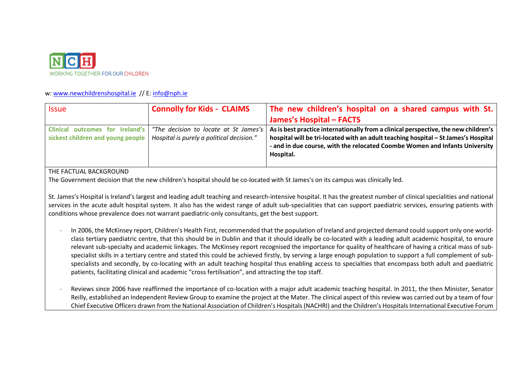

# w: [www.newchildrenshospital.ie](http://www.newchildrenshospital.ie/) // E[: info@nph.ie](mailto:info@nph.ie)

| <i><u><b>Issue</b></u></i>                | <b>Connolly for Kids - CLAIMS</b>         | The new children's hospital on a shared campus with St.                                                                                                                        |
|-------------------------------------------|-------------------------------------------|--------------------------------------------------------------------------------------------------------------------------------------------------------------------------------|
|                                           |                                           | <b>James's Hospital - FACTS</b>                                                                                                                                                |
| outcomes for Ireland's<br><b>Clinical</b> | "The decision to locate at St James's     | $\mid$ As is best practice internationally from a clinical perspective, the new children's $\mid$                                                                              |
| sickest children and young people         | Hospital is purely a political decision." | hospital will be tri-located with an adult teaching hospital - St James's Hospital<br>- and in due course, with the relocated Coombe Women and Infants University<br>Hospital. |

# THE FACTUAL BACKGROUND

The Government decision that the new children's hospital should be co-located with St James's on its campus was clinically led.

St. James's Hospital is Ireland's largest and leading adult teaching and research-intensive hospital. It has the greatest number of clinical specialities and national services in the acute adult hospital system. It also has the widest range of adult sub-specialities that can support paediatric services, ensuring patients with conditions whose prevalence does not warrant paediatric-only consultants, get the best support.

- In 2006, the McKinsey report, Children's Health First, recommended that the population of Ireland and projected demand could support only one worldclass tertiary paediatric centre, that this should be in Dublin and that it should ideally be co-located with a leading adult academic hospital, to ensure relevant sub-specialty and academic linkages. The McKinsey report recognised the importance for quality of healthcare of having a critical mass of subspecialist skills in a tertiary centre and stated this could be achieved firstly, by serving a large enough population to support a full complement of subspecialists and secondly, by co-locating with an adult teaching hospital thus enabling access to specialties that encompass both adult and paediatric patients, facilitating clinical and academic "cross fertilisation", and attracting the top staff.
- Reviews since 2006 have reaffirmed the importance of co-location with a major adult academic teaching hospital. In 2011, the then Minister, Senator Reilly, established an Independent Review Group to examine the project at the Mater. The clinical aspect of this review was carried out by a team of four Chief Executive Officers drawn from the National Association of Children's Hospitals (NACHRI) and the Children's Hospitals International Executive Forum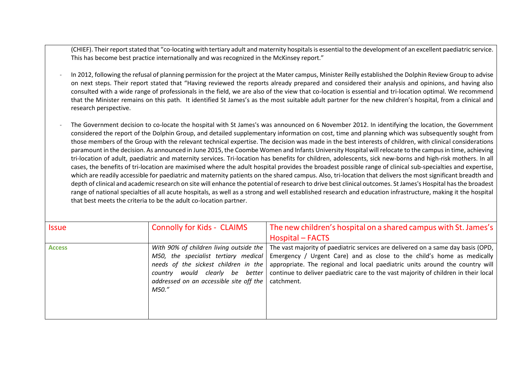(CHIEF). Their report stated that "co-locating with tertiary adult and maternity hospitals is essential to the development of an excellent paediatric service. This has become best practice internationally and was recognized in the McKinsey report."

- In 2012, following the refusal of planning permission for the project at the Mater campus, Minister Reilly established the Dolphin Review Group to advise on next steps. Their report stated that "Having reviewed the reports already prepared and considered their analysis and opinions, and having also consulted with a wide range of professionals in the field, we are also of the view that co-location is essential and tri-location optimal. We recommend that the Minister remains on this path. It identified St James's as the most suitable adult partner for the new children's hospital, from a clinical and research perspective.
- The Government decision to co-locate the hospital with St James's was announced on 6 November 2012. In identifying the location, the Government considered the report of the Dolphin Group, and detailed supplementary information on cost, time and planning which was subsequently sought from those members of the Group with the relevant technical expertise. The decision was made in the best interests of children, with clinical considerations paramount in the decision. As announced in June 2015, the Coombe Women and Infants University Hospital will relocate to the campus in time, achieving tri-location of adult, paediatric and maternity services. Tri-location has benefits for children, adolescents, sick new-borns and high-risk mothers. In all cases, the benefits of tri-location are maximised where the adult hospital provides the broadest possible range of clinical sub-specialties and expertise, which are readily accessible for paediatric and maternity patients on the shared campus. Also, tri-location that delivers the most significant breadth and depth of clinical and academic research on site will enhance the potential of research to drive best clinical outcomes. St James's Hospital has the broadest range of national specialties of all acute hospitals, as well as a strong and well established research and education infrastructure, making it the hospital that best meets the criteria to be the adult co-location partner.

| <b>Issue</b>  | <b>Connolly for Kids - CLAIMS</b>                                                                                                                                                                              | The new children's hospital on a shared campus with St. James's<br><b>Hospital – FACTS</b>                                                                                                                                                                                                                                                      |
|---------------|----------------------------------------------------------------------------------------------------------------------------------------------------------------------------------------------------------------|-------------------------------------------------------------------------------------------------------------------------------------------------------------------------------------------------------------------------------------------------------------------------------------------------------------------------------------------------|
| <b>Access</b> | With 90% of children living outside the<br>M50, the specialist tertiary medical<br>needs of the sickest children in the<br>country would clearly be better<br>addressed on an accessible site off the<br>M50." | The vast majority of paediatric services are delivered on a same day basis (OPD,<br>Emergency / Urgent Care) and as close to the child's home as medically<br>appropriate. The regional and local paediatric units around the country will<br>continue to deliver paediatric care to the vast majority of children in their local<br>catchment. |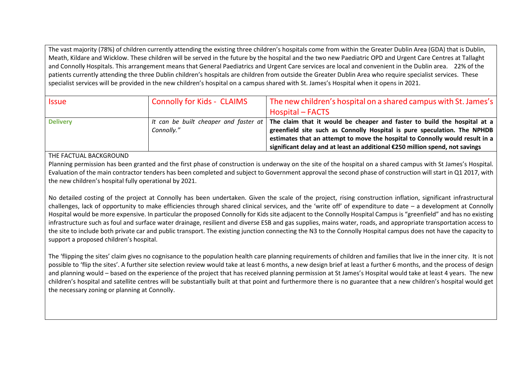The vast majority (78%) of children currently attending the existing three children's hospitals come from within the Greater Dublin Area (GDA) that is Dublin, Meath, Kildare and Wicklow. These children will be served in the future by the hospital and the two new Paediatric OPD and Urgent Care Centres at Tallaght and Connolly Hospitals. This arrangement means that General Paediatrics and Urgent Care services are local and convenient in the Dublin area. 22% of the patients currently attending the three Dublin children's hospitals are children from outside the Greater Dublin Area who require specialist services. These specialist services will be provided in the new children's hospital on a campus shared with St. James's Hospital when it opens in 2021.

| <i><b>Issue</b></i> | <b>Connolly for Kids - CLAIMS</b> | The new children's hospital on a shared campus with St. James's                                                      |
|---------------------|-----------------------------------|----------------------------------------------------------------------------------------------------------------------|
|                     |                                   | Hospital – FACTS                                                                                                     |
| <b>Delivery</b>     |                                   | It can be built cheaper and faster at   The claim that it would be cheaper and faster to build the hospital at a $ $ |
|                     | Connolly."                        | greenfield site such as Connolly Hospital is pure speculation. The NPHDB                                             |
|                     |                                   | estimates that an attempt to move the hospital to Connolly would result in a                                         |
|                     |                                   | significant delay and at least an additional €250 million spend, not savings                                         |

THE FACTUAL BACKGROUND

Planning permission has been granted and the first phase of construction is underway on the site of the hospital on a shared campus with St James's Hospital. Evaluation of the main contractor tenders has been completed and subject to Government approval the second phase of construction will start in Q1 2017, with the new children's hospital fully operational by 2021.

No detailed costing of the project at Connolly has been undertaken. Given the scale of the project, rising construction inflation, significant infrastructural challenges, lack of opportunity to make efficiencies through shared clinical services, and the 'write off' of expenditure to date – a development at Connolly Hospital would be more expensive. In particular the proposed Connolly for Kids site adjacent to the Connolly Hospital Campus is "greenfield" and has no existing infrastructure such as foul and surface water drainage, resilient and diverse ESB and gas supplies, mains water, roads, and appropriate transportation access to the site to include both private car and public transport. The existing junction connecting the N3 to the Connolly Hospital campus does not have the capacity to support a proposed children's hospital.

The 'flipping the sites' claim gives no cognisance to the population health care planning requirements of children and families that live in the inner city. It is not possible to 'flip the sites'. A further site selection review would take at least 6 months, a new design brief at least a further 6 months, and the process of design and planning would – based on the experience of the project that has received planning permission at St James's Hospital would take at least 4 years. The new children's hospital and satellite centres will be substantially built at that point and furthermore there is no guarantee that a new children's hospital would get the necessary zoning or planning at Connolly.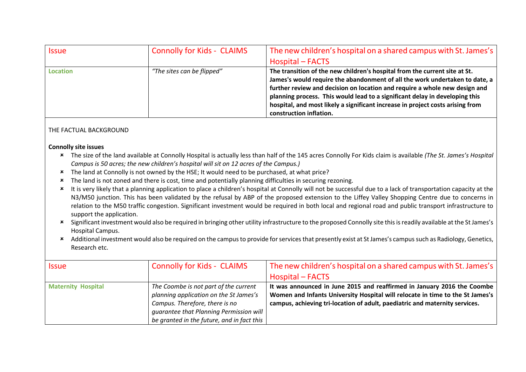| Issue           | <b>Connolly for Kids - CLAIMS</b> | The new children's hospital on a shared campus with St. James's<br>Hospital – FACTS                                                                                                                                                                                                                                                                                                                                                 |
|-----------------|-----------------------------------|-------------------------------------------------------------------------------------------------------------------------------------------------------------------------------------------------------------------------------------------------------------------------------------------------------------------------------------------------------------------------------------------------------------------------------------|
| <b>Location</b> | "The sites can be flipped"        | The transition of the new children's hospital from the current site at St.<br>James's would require the abandonment of all the work undertaken to date, a<br>further review and decision on location and require a whole new design and<br>planning process. This would lead to a significant delay in developing this<br>hospital, and most likely a significant increase in project costs arising from<br>construction inflation. |

# THE FACTUAL BACKGROUND

#### **Connolly site issues**

- The size of the land available at Connolly Hospital is actually less than half of the 145 acres Connolly For Kids claim is available *(The St. James's Hospital Campus is 50 acres; the new children's hospital will sit on 12 acres of the Campus.)*
- \* The land at Connolly is not owned by the HSE; It would need to be purchased, at what price?
- The land is not zoned and there is cost, time and potentially planning difficulties in securing rezoning.
- \* It is very likely that a planning application to place a children's hospital at Connolly will not be successful due to a lack of transportation capacity at the N3/M50 junction. This has been validated by the refusal by ABP of the proposed extension to the Liffey Valley Shopping Centre due to concerns in relation to the M50 traffic congestion. Significant investment would be required in both local and regional road and public transport infrastructure to support the application.
- Significant investment would also be required in bringing other utility infrastructure to the proposed Connolly site this is readily available at the St James's Hospital Campus.
- \* Additional investment would also be required on the campus to provide for services that presently exist at St James's campus such as Radiology, Genetics, Research etc.

| <b>Issue</b>              | <b>Connolly for Kids - CLAIMS</b>                                                                                                                                                                          | The new children's hospital on a shared campus with St. James's<br>Hospital – FACTS                                                                                                                                                     |
|---------------------------|------------------------------------------------------------------------------------------------------------------------------------------------------------------------------------------------------------|-----------------------------------------------------------------------------------------------------------------------------------------------------------------------------------------------------------------------------------------|
| <b>Maternity Hospital</b> | The Coombe is not part of the current<br>planning application on the St James's<br>Campus. Therefore, there is no<br>guarantee that Planning Permission will<br>be granted in the future, and in fact this | It was announced in June 2015 and reaffirmed in January 2016 the Coombe<br>Women and Infants University Hospital will relocate in time to the St James's<br>campus, achieving tri-location of adult, paediatric and maternity services. |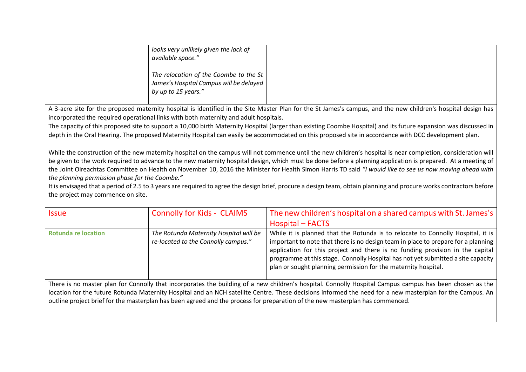| looks very unlikely given the lack of<br>available space."                                               |  |
|----------------------------------------------------------------------------------------------------------|--|
| The relocation of the Coombe to the St<br>James's Hospital Campus will be delayed<br>by up to 15 years." |  |

A 3-acre site for the proposed maternity hospital is identified in the Site Master Plan for the St James's campus, and the new children's hospital design has incorporated the required operational links with both maternity and adult hospitals.

The capacity of this proposed site to support a 10,000 birth Maternity Hospital (larger than existing Coombe Hospital) and its future expansion was discussed in depth in the Oral Hearing. The proposed Maternity Hospital can easily be accommodated on this proposed site in accordance with DCC development plan.

While the construction of the new maternity hospital on the campus will not commence until the new children's hospital is near completion, consideration will be given to the work required to advance to the new maternity hospital design, which must be done before a planning application is prepared. At a meeting of the Joint Oireachtas Committee on Health on November 10, 2016 the Minister for Health Simon Harris TD said *"I would like to see us now moving ahead with the planning permission phase for the Coombe."*

It is envisaged that a period of 2.5 to 3 years are required to agree the design brief, procure a design team, obtain planning and procure works contractors before the project may commence on site.

| Issue                      | <b>Connolly for Kids - CLAIMS</b>                                             | The new children's hospital on a shared campus with St. James's<br>Hospital – FACTS                                                                                                                                                                                                                                                                                                                         |
|----------------------------|-------------------------------------------------------------------------------|-------------------------------------------------------------------------------------------------------------------------------------------------------------------------------------------------------------------------------------------------------------------------------------------------------------------------------------------------------------------------------------------------------------|
| <b>Rotunda re location</b> | The Rotunda Maternity Hospital will be<br>re-located to the Connolly campus." | While it is planned that the Rotunda is to relocate to Connolly Hospital, it is<br>important to note that there is no design team in place to prepare for a planning<br>application for this project and there is no funding provision in the capital<br>programme at this stage. Connolly Hospital has not yet submitted a site capacity<br>plan or sought planning permission for the maternity hospital. |

There is no master plan for Connolly that incorporates the building of a new children's hospital. Connolly Hospital Campus campus has been chosen as the location for the future Rotunda Maternity Hospital and an NCH satellite Centre. These decisions informed the need for a new masterplan for the Campus. An outline project brief for the masterplan has been agreed and the process for preparation of the new masterplan has commenced.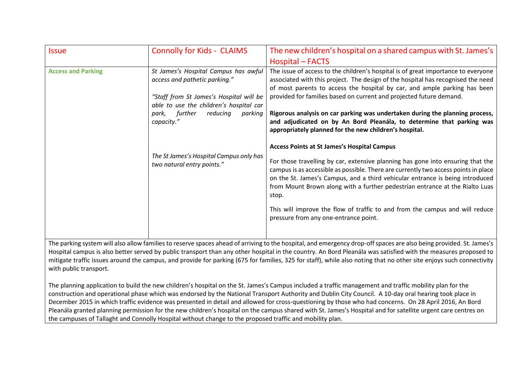| <i><b>Issue</b></i>       | <b>Connolly for Kids - CLAIMS</b>                                                                                                                                                                                    | The new children's hospital on a shared campus with St. James's                                                                                                                                                                                                                                                                                                                                                                                                                                                                              |
|---------------------------|----------------------------------------------------------------------------------------------------------------------------------------------------------------------------------------------------------------------|----------------------------------------------------------------------------------------------------------------------------------------------------------------------------------------------------------------------------------------------------------------------------------------------------------------------------------------------------------------------------------------------------------------------------------------------------------------------------------------------------------------------------------------------|
|                           |                                                                                                                                                                                                                      | Hospital – FACTS                                                                                                                                                                                                                                                                                                                                                                                                                                                                                                                             |
| <b>Access and Parking</b> | St James's Hospital Campus has awful<br>access and pathetic parking."<br>"Staff from St James's Hospital will be<br>able to use the children's hospital car<br>reducing<br>parking<br>further<br>park,<br>capacity." | The issue of access to the children's hospital is of great importance to everyone<br>associated with this project. The design of the hospital has recognised the need<br>of most parents to access the hospital by car, and ample parking has been<br>provided for families based on current and projected future demand.<br>Rigorous analysis on car parking was undertaken during the planning process,<br>and adjudicated on by An Bord Pleanála, to determine that parking was<br>appropriately planned for the new children's hospital. |
|                           | The St James's Hospital Campus only has<br>two natural entry points."                                                                                                                                                | <b>Access Points at St James's Hospital Campus</b><br>For those travelling by car, extensive planning has gone into ensuring that the<br>campus is as accessible as possible. There are currently two access points in place<br>on the St. James's Campus, and a third vehicular entrance is being introduced<br>from Mount Brown along with a further pedestrian entrance at the Rialto Luas<br>stop.<br>This will improve the flow of traffic to and from the campus and will reduce<br>pressure from any one-entrance point.              |

The parking system will also allow families to reserve spaces ahead of arriving to the hospital, and emergency drop-off spaces are also being provided. St. James's Hospital campus is also better served by public transport than any other hospital in the country. An Bord Pleanála was satisfied with the measures proposed to mitigate traffic issues around the campus, and provide for parking (675 for families, 325 for staff), while also noting that no other site enjoys such connectivity with public transport.

The planning application to build the new children's hospital on the St. James's Campus included a traffic management and traffic mobility plan for the construction and operational phase which was endorsed by the National Transport Authority and Dublin City Council. A 10-day oral hearing took place in December 2015 in which traffic evidence was presented in detail and allowed for cross-questioning by those who had concerns. On 28 April 2016, An Bord Pleanála granted planning permission for the new children's hospital on the campus shared with St. James's Hospital and for satellite urgent care centres on the campuses of Tallaght and Connolly Hospital without change to the proposed traffic and mobility plan.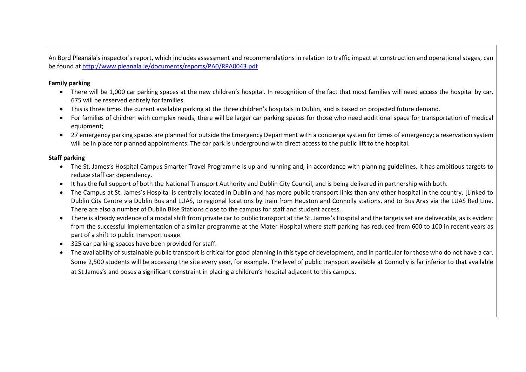An Bord Pleanála's inspector's report, which includes assessment and recommendations in relation to traffic impact at construction and operational stages, can be found at<http://www.pleanala.ie/documents/reports/PA0/RPA0043.pdf>

### **Family parking**

- There will be 1,000 car parking spaces at the new children's hospital. In recognition of the fact that most families will need access the hospital by car, 675 will be reserved entirely for families.
- This is three times the current available parking at the three children's hospitals in Dublin, and is based on projected future demand.
- For families of children with complex needs, there will be larger car parking spaces for those who need additional space for transportation of medical equipment;
- 27 emergency parking spaces are planned for outside the Emergency Department with a concierge system for times of emergency; a reservation system will be in place for planned appointments. The car park is underground with direct access to the public lift to the hospital.

# **Staff parking**

- The St. James's Hospital Campus Smarter Travel Programme is up and running and, in accordance with planning guidelines, it has ambitious targets to reduce staff car dependency.
- It has the full support of both the National Transport Authority and Dublin City Council, and is being delivered in partnership with both.
- The Campus at St. James's Hospital is centrally located in Dublin and has more public transport links than any other hospital in the country. [Linked to Dublin City Centre via Dublin Bus and LUAS, to regional locations by train from Heuston and Connolly stations, and to Bus Aras via the LUAS Red Line. There are also a number of Dublin Bike Stations close to the campus for staff and student access.
- There is already evidence of a modal shift from private car to public transport at the St. James's Hospital and the targets set are deliverable, as is evident from the successful implementation of a similar programme at the Mater Hospital where staff parking has reduced from 600 to 100 in recent years as part of a shift to public transport usage.
- 325 car parking spaces have been provided for staff.
- The availability of sustainable public transport is critical for good planning in this type of development, and in particular for those who do not have a car. Some 2,500 students will be accessing the site every year, for example. The level of public transport available at Connolly is far inferior to that available at St James's and poses a significant constraint in placing a children's hospital adjacent to this campus.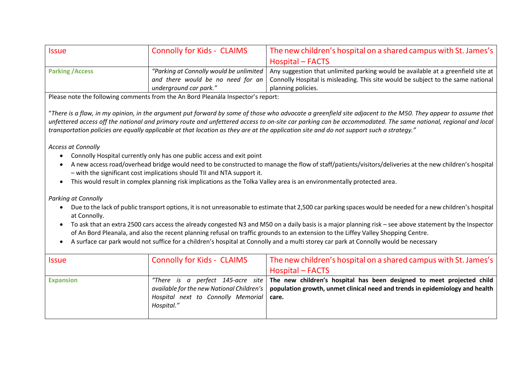| <b>Issue</b>            | Connolly for Kids - CLAIMS | The new children's hospital on a shared campus with St. James's                                                            |
|-------------------------|----------------------------|----------------------------------------------------------------------------------------------------------------------------|
|                         |                            | Hospital – FACTS                                                                                                           |
| <b>Parking / Access</b> |                            | "Parking at Connolly would be unlimited   Any suggestion that unlimited parking would be available at a greenfield site at |
|                         |                            | and there would be no need for an Connolly Hospital is misleading. This site would be subject to the same national         |
|                         | underground car park."     | planning policies.                                                                                                         |

Please note the following comments from the An Bord Pleanála Inspector's report:

"*There is a flaw, in my opinion, in the argument put forward by some of those who advocate a greenfield site adjacent to the M50. They appear to assume that unfettered access off the national and primary route and unfettered access to on-site car parking can be accommodated. The same national, regional and local transportation policies are equally applicable at that location as they are at the application site and do not support such a strategy."* 

*Access at Connolly*

- Connolly Hospital currently only has one public access and exit point
- A new access road/overhead bridge would need to be constructed to manage the flow of staff/patients/visitors/deliveries at the new children's hospital – with the significant cost implications should TII and NTA support it.
- This would result in complex planning risk implications as the Tolka Valley area is an environmentally protected area.

*Parking at Connolly* 

- Due to the lack of public transport options, it is not unreasonable to estimate that 2,500 car parking spaces would be needed for a new children's hospital at Connolly.
- To ask that an extra 2500 cars access the already congested N3 and M50 on a daily basis is a major planning risk see above statement by the Inspector of An Bord Pleanala, and also the recent planning refusal on traffic grounds to an extension to the Liffey Valley Shopping Centre.
- A surface car park would not suffice for a children's hospital at Connolly and a multi storey car park at Connolly would be necessary

| <i><b>Issue</b></i> | <b>Connolly for Kids - CLAIMS</b>                        | The new children's hospital on a shared campus with St. James's<br>Hospital – FACTS                                                                                                                                                 |
|---------------------|----------------------------------------------------------|-------------------------------------------------------------------------------------------------------------------------------------------------------------------------------------------------------------------------------------|
| <b>Expansion</b>    | Hospital next to Connolly Memorial   care.<br>Hospital." | "There is a perfect 145-acre site The new children's hospital has been designed to meet projected child<br>available for the new National Children's   population growth, unmet clinical need and trends in epidemiology and health |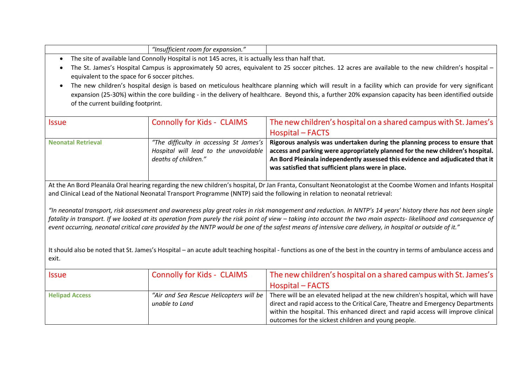| . Insufficient''<br><sup>-</sup> expansion.<br>room tor |                                 |
|---------------------------------------------------------|---------------------------------|
| .<br>.<br>.<br>__                                       | $\overline{\phantom{a}}$<br>. . |

- The site of available land Connolly Hospital is not 145 acres, it is actually less than half that.
- The St. James's Hospital Campus is approximately 50 acres, equivalent to 25 soccer pitches. 12 acres are available to the new children's hospital equivalent to the space for 6 soccer pitches.
- The new children's hospital design is based on meticulous healthcare planning which will result in a facility which can provide for very significant expansion (25-30%) within the core building - in the delivery of healthcare. Beyond this, a further 20% expansion capacity has been identified outside of the current building footprint.

| <b>Issue</b>       | <b>Connolly for Kids - CLAIMS</b>       | The new children's hospital on a shared campus with St. James's                |
|--------------------|-----------------------------------------|--------------------------------------------------------------------------------|
|                    |                                         | Hospital – FACTS                                                               |
| Neonatal Retrieval | "The difficulty in accessing St James's | Rigorous analysis was undertaken during the planning process to ensure that    |
|                    | Hospital will lead to the unavoidable   | access and parking were appropriately planned for the new children's hospital. |
|                    | deaths of children."                    | An Bord Pleánala independently assessed this evidence and adjudicated that it  |
|                    |                                         | was satisfied that sufficient plans were in place.                             |

At the An Bord Pleanála Oral hearing regarding the new children's hospital, Dr Jan Franta, Consultant Neonatologist at the Coombe Women and Infants Hospital and Clinical Lead of the National Neonatal Transport Programme (NNTP) said the following in relation to neonatal retrieval:

*"In neonatal transport, risk assessment and awareness play great roles in risk management and reduction. In NNTP's 14 years' history there has not been single*  fatality in transport. If we looked at its operation from purely the risk point of view – taking into account the two main aspects- likelihood and consequence of event occurring, neonatal critical care provided by the NNTP would be one of the safest means of intensive care delivery, in hospital or outside of it."

It should also be noted that St. James's Hospital – an acute adult teaching hospital - functions as one of the best in the country in terms of ambulance access and exit.

| <i><b>Issue</b></i>   | <b>Connolly for Kids - CLAIMS</b> | The new children's hospital on a shared campus with St. James's                                                             |
|-----------------------|-----------------------------------|-----------------------------------------------------------------------------------------------------------------------------|
|                       |                                   | Hospital – FACTS                                                                                                            |
| <b>Helipad Access</b> |                                   | "Air and Sea Rescue Helicopters will be   There will be an elevated helipad at the new children's hospital, which will have |
|                       | unable to Land                    | direct and rapid access to the Critical Care, Theatre and Emergency Departments                                             |
|                       |                                   | within the hospital. This enhanced direct and rapid access will improve clinical                                            |
|                       |                                   | outcomes for the sickest children and young people.                                                                         |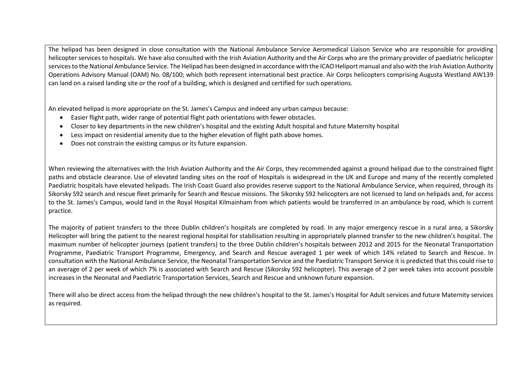The helipad has been designed in close consultation with the National Ambulance Service Aeromedical Liaison Service who are responsible for providing helicopter services to hospitals. We have also consulted with the Irish Aviation Authority and the Air Corps who are the primary provider of paediatric helicopter services to the National Ambulance Service. The Helipad has been designed in accordance with the ICAO Heliport manual and also with the Irish Aviation Authority Operations Advisory Manual (OAM) No. 08/100; which both represent international best practice. Air Corps helicopters comprising Augusta Westland AW139 can land on a raised landing site or the roof of a building, which is designed and certified for such operations.

An elevated helipad is more appropriate on the St. James's Campus and indeed any urban campus because:

- Easier flight path, wider range of potential flight path orientations with fewer obstacles.
- Closer to key departments in the new children's hospital and the existing Adult hospital and future Maternity hospital
- Less impact on residential amenity due to the higher elevation of flight path above homes.
- Does not constrain the existing campus or its future expansion.

When reviewing the alternatives with the Irish Aviation Authority and the Air Corps, they recommended against a ground helipad due to the constrained flight paths and obstacle clearance. Use of elevated landing sites on the roof of Hospitals is widespread in the UK and Europe and many of the recently completed Paediatric hospitals have elevated helipads. The Irish Coast Guard also provides reserve support to the National Ambulance Service, when required, through its Sikorsky S92 search and rescue fleet primarily for Search and Rescue missions. The Sikorsky S92 helicopters are not licensed to land on helipads and, for access to the St. James's Campus, would land in the Royal Hospital Kilmainham from which patients would be transferred in an ambulance by road, which is current practice.

The majority of patient transfers to the three Dublin children's hospitals are completed by road. In any major emergency rescue in a rural area, a Sikorsky Helicopter will bring the patient to the nearest regional hospital for stabilisation resulting in appropriately planned transfer to the new children's hospital. The maximum number of helicopter journeys (patient transfers) to the three Dublin children's hospitals between 2012 and 2015 for the Neonatal Transportation Programme, Paediatric Transport Programme, Emergency, and Search and Rescue averaged 1 per week of which 14% related to Search and Rescue. In consultation with the National Ambulance Service, the Neonatal Transportation Service and the Paediatric Transport Service it is predicted that this could rise to an average of 2 per week of which 7% is associated with Search and Rescue (Sikorsky S92 helicopter). This average of 2 per week takes into account possible increases in the Neonatal and Paediatric Transportation Services, Search and Rescue and unknown future expansion.

There will also be direct access from the helipad through the new children's hospital to the St. James's Hospital for Adult services and future Maternity services as required.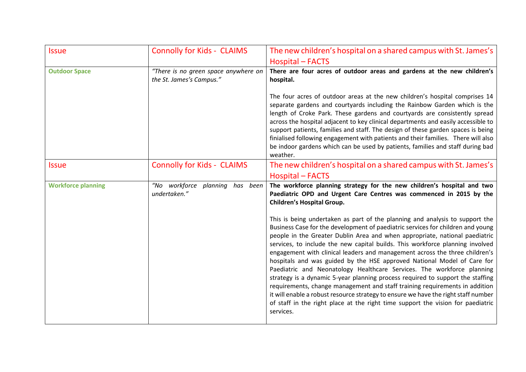| <b>Issue</b>              | <b>Connolly for Kids - CLAIMS</b>                                | The new children's hospital on a shared campus with St. James's                                                                                                                                                                                                                                                                                                                                                                                                                                                                                                                                                                                                                                                                                                                                                                                                                                                            |
|---------------------------|------------------------------------------------------------------|----------------------------------------------------------------------------------------------------------------------------------------------------------------------------------------------------------------------------------------------------------------------------------------------------------------------------------------------------------------------------------------------------------------------------------------------------------------------------------------------------------------------------------------------------------------------------------------------------------------------------------------------------------------------------------------------------------------------------------------------------------------------------------------------------------------------------------------------------------------------------------------------------------------------------|
|                           |                                                                  | <b>Hospital - FACTS</b>                                                                                                                                                                                                                                                                                                                                                                                                                                                                                                                                                                                                                                                                                                                                                                                                                                                                                                    |
| <b>Outdoor Space</b>      | "There is no green space anywhere on<br>the St. James's Campus." | There are four acres of outdoor areas and gardens at the new children's<br>hospital.                                                                                                                                                                                                                                                                                                                                                                                                                                                                                                                                                                                                                                                                                                                                                                                                                                       |
|                           |                                                                  | The four acres of outdoor areas at the new children's hospital comprises 14<br>separate gardens and courtyards including the Rainbow Garden which is the<br>length of Croke Park. These gardens and courtyards are consistently spread<br>across the hospital adjacent to key clinical departments and easily accessible to<br>support patients, families and staff. The design of these garden spaces is being<br>finialised following engagement with patients and their families. There will also<br>be indoor gardens which can be used by patients, families and staff during bad<br>weather.                                                                                                                                                                                                                                                                                                                         |
| <b>Issue</b>              | <b>Connolly for Kids - CLAIMS</b>                                | The new children's hospital on a shared campus with St. James's<br><b>Hospital – FACTS</b>                                                                                                                                                                                                                                                                                                                                                                                                                                                                                                                                                                                                                                                                                                                                                                                                                                 |
| <b>Workforce planning</b> | "No workforce planning<br>has been<br>undertaken."               | The workforce planning strategy for the new children's hospital and two<br>Paediatric OPD and Urgent Care Centres was commenced in 2015 by the<br>Children's Hospital Group.                                                                                                                                                                                                                                                                                                                                                                                                                                                                                                                                                                                                                                                                                                                                               |
|                           |                                                                  | This is being undertaken as part of the planning and analysis to support the<br>Business Case for the development of paediatric services for children and young<br>people in the Greater Dublin Area and when appropriate, national paediatric<br>services, to include the new capital builds. This workforce planning involved<br>engagement with clinical leaders and management across the three children's<br>hospitals and was guided by the HSE approved National Model of Care for<br>Paediatric and Neonatology Healthcare Services. The workforce planning<br>strategy is a dynamic 5-year planning process required to support the staffing<br>requirements, change management and staff training requirements in addition<br>it will enable a robust resource strategy to ensure we have the right staff number<br>of staff in the right place at the right time support the vision for paediatric<br>services. |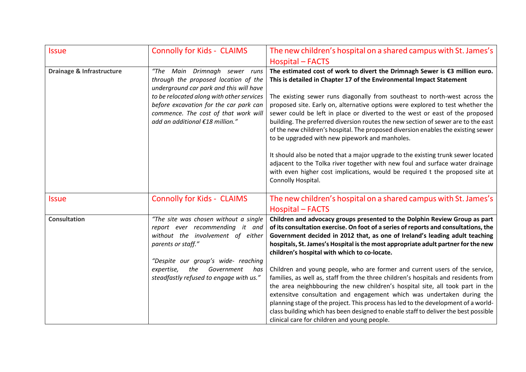| <b>Issue</b>                         | <b>Connolly for Kids - CLAIMS</b>                                                                                                                                                                                                                                                     | The new children's hospital on a shared campus with St. James's                                                                                                                                                                                                                                                                                                                                                                                                                                                                                                                                                                                                                                                                                                                                                                                                                                                                                    |
|--------------------------------------|---------------------------------------------------------------------------------------------------------------------------------------------------------------------------------------------------------------------------------------------------------------------------------------|----------------------------------------------------------------------------------------------------------------------------------------------------------------------------------------------------------------------------------------------------------------------------------------------------------------------------------------------------------------------------------------------------------------------------------------------------------------------------------------------------------------------------------------------------------------------------------------------------------------------------------------------------------------------------------------------------------------------------------------------------------------------------------------------------------------------------------------------------------------------------------------------------------------------------------------------------|
|                                      |                                                                                                                                                                                                                                                                                       | <b>Hospital - FACTS</b>                                                                                                                                                                                                                                                                                                                                                                                                                                                                                                                                                                                                                                                                                                                                                                                                                                                                                                                            |
| <b>Drainage &amp; Infrastructure</b> | Main Drimnagh sewer runs<br>"The<br>through the proposed location of the<br>underground car park and this will have<br>to be relocated along with other services<br>before excavation for the car park can<br>commence. The cost of that work will<br>add an additional €18 million." | The estimated cost of work to divert the Drimnagh Sewer is €3 million euro.<br>This is detailed in Chapter 17 of the Environmental Impact Statement<br>The existing sewer runs diagonally from southeast to north-west across the<br>proposed site. Early on, alternative options were explored to test whether the<br>sewer could be left in place or diverted to the west or east of the proposed<br>building. The preferred diversion routes the new section of sewer are to the east<br>of the new children's hospital. The proposed diversion enables the existing sewer<br>to be upgraded with new pipework and manholes.                                                                                                                                                                                                                                                                                                                    |
|                                      |                                                                                                                                                                                                                                                                                       | It should also be noted that a major upgrade to the existing trunk sewer located<br>adjacent to the Tolka river together with new foul and surface water drainage<br>with even higher cost implications, would be required t the proposed site at<br>Connolly Hospital.                                                                                                                                                                                                                                                                                                                                                                                                                                                                                                                                                                                                                                                                            |
| <b>Issue</b>                         | <b>Connolly for Kids - CLAIMS</b>                                                                                                                                                                                                                                                     | The new children's hospital on a shared campus with St. James's                                                                                                                                                                                                                                                                                                                                                                                                                                                                                                                                                                                                                                                                                                                                                                                                                                                                                    |
|                                      |                                                                                                                                                                                                                                                                                       | <b>Hospital – FACTS</b>                                                                                                                                                                                                                                                                                                                                                                                                                                                                                                                                                                                                                                                                                                                                                                                                                                                                                                                            |
| <b>Consultation</b>                  | "The site was chosen without a single<br>report ever recommending it and<br>without the involvement of either<br>parents or staff."<br>"Despite our group's wide- reaching<br>the<br>Government<br>expertise,<br>has<br>steadfastly refused to engage with us."                       | Children and advocacy groups presented to the Dolphin Review Group as part<br>of its consultation exercise. On foot of a series of reports and consultations, the<br>Government decided in 2012 that, as one of Ireland's leading adult teaching<br>hospitals, St. James's Hospital is the most appropriate adult partner for the new<br>children's hospital with which to co-locate.<br>Children and young people, who are former and current users of the service,<br>families, as well as, staff from the three children's hospitals and residents from<br>the area neighbbouring the new children's hospital site, all took part in the<br>extensitve consultation and engagement which was undertaken during the<br>planning stage of the project. This process has led to the development of a world-<br>class building which has been designed to enable staff to deliver the best possible<br>clinical care for children and young people. |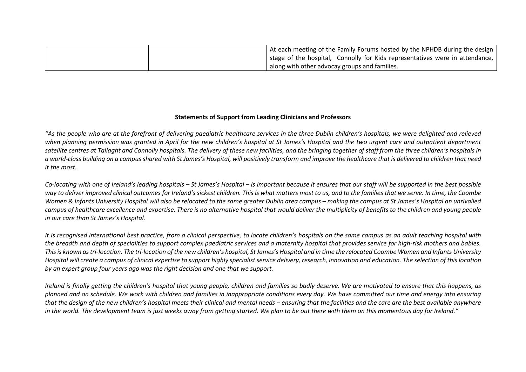|  | At each meeting of the Family Forums hosted by the NPHDB during the design   |
|--|------------------------------------------------------------------------------|
|  | stage of the hospital, Connolly for Kids representatives were in attendance, |
|  | along with other advocay groups and families.                                |

### **Statements of Support from Leading Clinicians and Professors**

*"As the people who are at the forefront of delivering paediatric healthcare services in the three Dublin children's hospitals, we were delighted and relieved when planning permission was granted in April for the new children's hospital at St James's Hospital and the two urgent care and outpatient department satellite centres at Tallaght and Connolly hospitals. The delivery of these new facilities, and the bringing together of staff from the three children's hospitals in a world-class building on a campus shared with St James's Hospital, will positively transform and improve the healthcare that is delivered to children that need it the most.*

*Co-locating with one of Ireland's leading hospitals – St James's Hospital – is important because it ensures that our staff will be supported in the best possible*  way to deliver improved clinical outcomes for Ireland's sickest children. This is what matters most to us, and to the families that we serve. In time, the Coombe *Women & Infants University Hospital will also be relocated to the same greater Dublin area campus – making the campus at St James's Hospital an unrivalled campus of healthcare excellence and expertise. There is no alternative hospital that would deliver the multiplicity of benefits to the children and young people in our care than St James's Hospital.* 

*It is recognised international best practice, from a clinical perspective, to locate children's hospitals on the same campus as an adult teaching hospital with the breadth and depth of specialities to support complex paediatric services and a maternity hospital that provides service for high-risk mothers and babies.*  This is known as tri-location. The tri-location of the new children's hospital, St James's Hospital and in time the relocated Coombe Women and Infants University *Hospital will create a campus of clinical expertise to support highly specialist service delivery, research, innovation and education. The selection of this location by an expert group four years ago was the right decision and one that we support.*

*Ireland is finally getting the children's hospital that young people, children and families so badly deserve. We are motivated to ensure that this happens, as planned and on schedule. We work with children and families in inappropriate conditions every day. We have committed our time and energy into ensuring that the design of the new children's hospital meets their clinical and mental needs – ensuring that the facilities and the care are the best available anywhere in the world. The development team is just weeks away from getting started. We plan to be out there with them on this momentous day for Ireland."*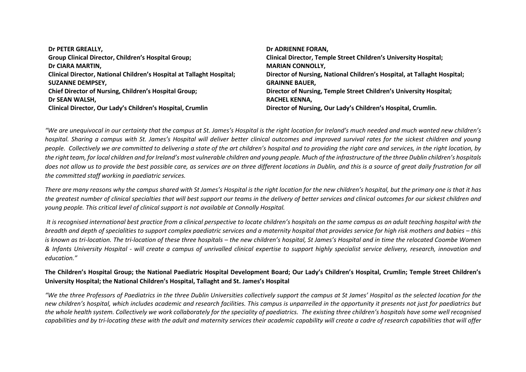| Dr ADRIENNE FORAN,                                                       |
|--------------------------------------------------------------------------|
| <b>Clinical Director, Temple Street Children's University Hospital;</b>  |
| <b>MARIAN CONNOLLY,</b>                                                  |
| Director of Nursing, National Children's Hospital, at Tallaght Hospital; |
| <b>GRAINNE BAUER.</b>                                                    |
| Director of Nursing, Temple Street Children's University Hospital;       |
| RACHEL KENNA,                                                            |
| Director of Nursing, Our Lady's Children's Hospital, Crumlin.            |
|                                                                          |

*"We are unequivocal in our certainty that the campus at St. James's Hospital is the right location for Ireland's much needed and much wanted new children's hospital. Sharing a campus with St. James's Hospital will deliver better clinical outcomes and improved survival rates for the sickest children and young people. Collectively we are committed to delivering a state of the art children's hospital and to providing the right care and services, in the right location, by the right team, for local children and for Ireland's most vulnerable children and young people. Much of the infrastructure of the three Dublin children's hospitals*  does not allow us to provide the best possible care, as services are on three different locations in Dublin, and this is a source of great daily frustration for all *the committed staff working in paediatric services.* 

*There are many reasons why the campus shared with St James's Hospital is the right location for the new children's hospital, but the primary one is that it has the greatest number of clinical specialties that will best support our teams in the delivery of better services and clinical outcomes for our sickest children and young people. This critical level of clinical support is not available at Connolly Hospital.* 

*It is recognised international best practice from a clinical perspective to locate children's hospitals on the same campus as an adult teaching hospital with the breadth and depth of specialities to support complex paediatric services and a maternity hospital that provides service for high risk mothers and babies – this is known as tri-location. The tri-location of these three hospitals – the new children's hospital, St James's Hospital and in time the relocated Coombe Women & Infants University Hospital - will create a campus of unrivalled clinical expertise to support highly specialist service delivery, research, innovation and education."*

# **The Children's Hospital Group; the National Paediatric Hospital Development Board; Our Lady's Children's Hospital, Crumlin; Temple Street Children's University Hospital; the National Children's Hospital, Tallaght and St. James's Hospital**

*"We the three Professors of Paediatrics in the three Dublin Universities collectively support the campus at St James' Hospital as the selected location for the new children's hospital, which includes academic and research facilities. This campus is unparrelled in the opportunity it presents not just for paediatrics but the whole health system. Collectively we work collaborately for the speciality of paediatrics. The existing three children's hospitals have some well recognised capabilities and by tri-locating these with the adult and maternity services their academic capability will create a cadre of research capabilities that will offer*